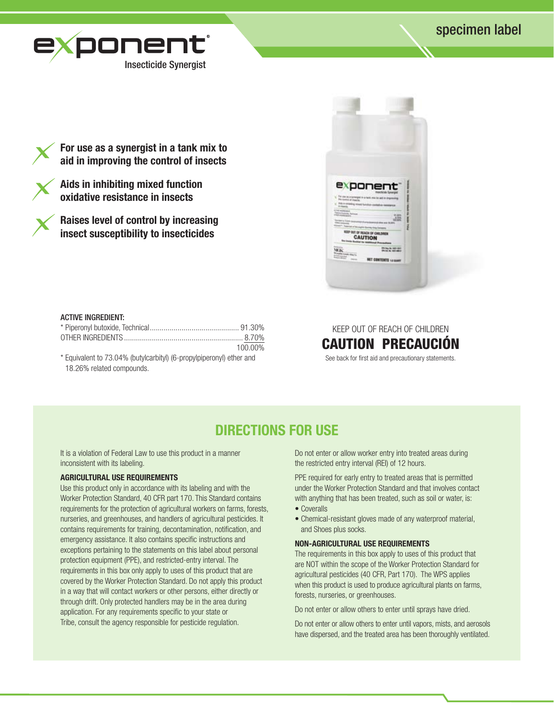# specimen label



**For use as a synergist in a tank mix to aid in improving the control of insects** 

**Aids in inhibiting mixed function oxidative resistance in insects**

**Raises level of control by increasing insect susceptibility to insecticides** 



## ACTIVE INGREDIENT:

|                                                                      | 100.00% |
|----------------------------------------------------------------------|---------|
| * Equivalent to 73.04% (butylcarbityl) (6-propylpiperonyl) ether and |         |
| 18.26% related compounds.                                            |         |

# KEEP OUT OF REACH OF CHILDREN CAUTION PRECAUCION

See back for first aid and precautionary statements.

# **DIRECTIONS FOR USE**

It is a violation of Federal Law to use this product in a manner inconsistent with its labeling.

## **AGRICULTURAL USE REQUIREMENTS**

Use this product only in accordance with its labeling and with the Worker Protection Standard, 40 CFR part 170. This Standard contains requirements for the protection of agricultural workers on farms, forests, nurseries, and greenhouses, and handlers of agricultural pesticides. It contains requirements for training, decontamination, notification, and emergency assistance. It also contains specific instructions and exceptions pertaining to the statements on this label about personal protection equipment (PPE), and restricted-entry interval. The requirements in this box only apply to uses of this product that are covered by the Worker Protection Standard. Do not apply this product in a way that will contact workers or other persons, either directly or through drift. Only protected handlers may be in the area during application. For any requirements specific to your state or Tribe, consult the agency responsible for pesticide regulation.

Do not enter or allow worker entry into treated areas during the restricted entry interval (REI) of 12 hours.

PPE required for early entry to treated areas that is permitted under the Worker Protection Standard and that involves contact with anything that has been treated, such as soil or water, is:

- Coveralls
- Chemical-resistant gloves made of any waterproof material, and Shoes plus socks.

## **NON-AGRICULTURAL USE REQUIREMENTS**

The requirements in this box apply to uses of this product that are NOT within the scope of the Worker Protection Standard for agricultural pesticides (40 CFR, Part 170). The WPS applies when this product is used to produce agricultural plants on farms, forests, nurseries, or greenhouses.

Do not enter or allow others to enter until sprays have dried.

Do not enter or allow others to enter until vapors, mists, and aerosols have dispersed, and the treated area has been thoroughly ventilated.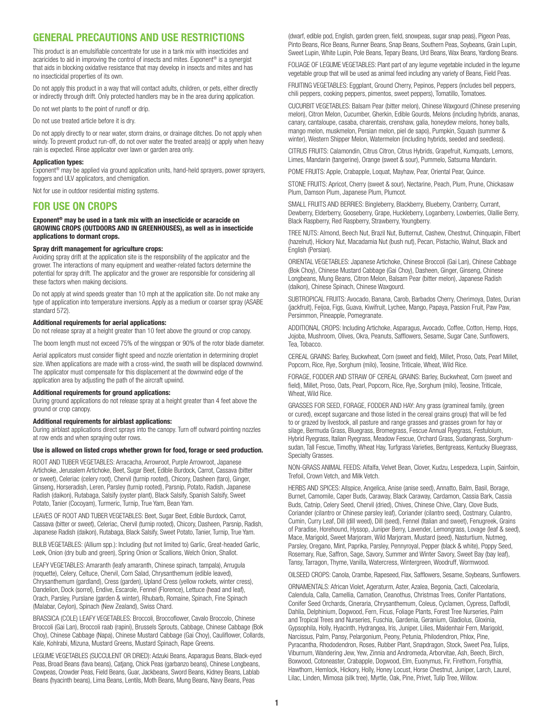# **GENERAL PRECAUTIONS AND USE RESTRICTIONS**

This product is an emulsifiable concentrate for use in a tank mix with insecticides and acaricides to aid in improving the control of insects and mites. Exponent<sup>®</sup> is a synergist that aids in blocking oxidative resistance that may develop in insects and mites and has no insecticidal properties of its own.

Do not apply this product in a way that will contact adults, children, or pets, either directly or indirectly through drift. Only protected handlers may be in the area during application.

Do not wet plants to the point of runoff or drip.

Do not use treated article before it is dry.

Do not apply directly to or near water, storm drains, or drainage ditches. Do not apply when windy. To prevent product run-off, do not over water the treated area(s) or apply when heavy rain is expected. Rinse applicator over lawn or garden area only.

### **Application types:**

Exponent<sup>®</sup> may be applied via ground application units, hand-held sprayers, power sprayers, foggers and ULV applicators, and chemigation.

Not for use in outdoor residential misting systems.

# **For Use on Crops**

**Exponent® may be used in a tank mix with an insecticide or acaracide on GROWING CROPS (OUTDOORS AND IN GREENHOUSES), as well as in insecticide applications to dormant crops.**

### **Spray drift management for agriculture crops:**

Avoiding spray drift at the application site is the responsibility of the applicator and the grower. The interactions of many equipment and weather-related factors determine the potential for spray drift. The applicator and the grower are responsible for considering all these factors when making decisions.

Do not apply at wind speeds greater than 10 mph at the application site. Do not make any type of application into temperature inversions. Apply as a medium or coarser spray (ASABE standard 572).

### **Additional requirements for aerial applications:**

Do not release spray at a height greater than 10 feet above the ground or crop canopy.

The boom length must not exceed 75% of the wingspan or 90% of the rotor blade diameter.

Aerial applicators must consider flight speed and nozzle orientation in determining droplet size. When applications are made with a cross-wind, the swath will be displaced downwind. The applicator must compensate for this displacement at the downwind edge of the application area by adjusting the path of the aircraft upwind.

#### **Additional requirements for ground applications:**

During ground applications do not release spray at a height greater than 4 feet above the ground or crop canopy.

#### **Additional requirements for airblast applications:**

During airblast applications direct sprays into the canopy. Turn off outward pointing nozzles at row ends and when spraying outer rows.

#### **Use is allowed on listed crops whether grown for food, forage or seed production.**

ROOT AND TUBER VEGETABLES: Arracacha, Arrowroot, Purple Arrowroot, Japanese Artichoke, Jerusalem Artichoke, Beet, Sugar Beet, Edible Burdock, Carrot, Cassava (bitter or sweet), Celeriac (celery root), Chervil (turnip rooted), Chicory, Dasheen (taro), Ginger, Ginseng, Horseradish, Leren, Parsley (turnip rooted), Parsnip, Potato, Radish, Japanese Radish (daikon), Rutabaga, Salsify (oyster plant), Black Salsify, Spanish Salsify, Sweet Potato, Tanier (Cocoyam), Turmeric, Turnip, True Yam, Bean Yam.

LEAVES OF ROOT AND TUBER VEGETABLES: Beet, Sugar Beet, Edible Burdock, Carrot, Cassava (bitter or sweet), Celeriac, Chervil (turnip rooted), Chicory, Dasheen, Parsnip, Radish, Japanese Radish (daikon), Rutabaga, Black Salsify, Sweet Potato, Tanier, Turnip, True Yam.

BULB VEGETABLES: (Allium spp.): Including (but not limited to) Garlic, Great-headed Garlic, Leek, Onion (dry bulb and green), Spring Onion or Scallions, Welch Onion, Shallot.

LEAFY VEGETABLES: Amaranth (leafy amaranth, Chinese spinach, tampala), Arrugula (roquette), Celery, Celtuce, Chervil, Corn Salad, Chrysanthemum (edible leaved), Chrysanthemum (gardland), Cress (garden), Upland Cress (yellow rockets, winter cress), Dandelion, Dock (sorrel), Endive, Escarole, Fennel (Florence), Lettuce (head and leaf), Orach, Parsley, Purslane (garden & winter), Rhubarb, Romaine, Spinach, Fine Spinach (Malabar, Ceylon), Spinach (New Zealand), Swiss Chard.

BRASSICA (COLE) LEAFY VEGETABLES: Broccoli, Broccoflower, Cavalo Broccolo, Chinese Broccoli (Gai Lan), Broccoli raab (rapini), Brussels Sprouts, Cabbage, Chinese Cabbage (Bok Choy), Chinese Cabbage (Napa), Chinese Mustard Cabbage (Gai Choy), Cauliflower, Collards, Kale, Kohlrabi, Mizuna, Mustard Greens, Mustard Spinach, Rape Greens.

LEGUME VEGETABLES (SUCCULENT OR DRIED): Adzuki Beans, Asparagus Beans, Black-eyed Peas, Broad Beans (fava beans), Catjang, Chick Peas (garbanzo beans), Chinese Longbeans, Cowpeas, Crowder Peas, Field Beans, Guar, Jackbeans, Sword Beans, Kidney Beans, Lablab Beans (hyacinth beans), Lima Beans, Lentils, Moth Beans, Mung Beans, Navy Beans, Peas

(dwarf, edible pod, English, garden green, field, snowpeas, sugar snap peas), Pigeon Peas, Pinto Beans, Rice Beans, Runner Beans, Snap Beans, Southern Peas, Soybeans, Grain Lupin, Sweet Lupin, White Lupin, Pole Beans, Tepary Beans, Urd Beans, Wax Beans, Yardlong Beans.

FOLIAGE OF LEGUME VEGETABLES: Plant part of any legume vegetable included in the legume vegetable group that will be used as animal feed including any variety of Beans, Field Peas.

FRUITING VEGETABLES: Eggplant, Ground Cherry, Pepinos, Peppers (includes bell peppers, chili peppers, cooking peppers, pimentos, sweet peppers), Tomatillo, Tomatoes.

CUCURBIT VEGETABLES: Balsam Pear (bitter melon), Chinese Waxgourd (Chinese preserving melon), Citron Melon, Cucumber, Gherkin, Edible Gourds, Melons (including hybrids, ananas, canary, cantaloupe, casaba, charentais, crenshaw, galia, honeydew melons, honey balls, mango melon, muskmelon, Persian melon, piel de sapo), Pumpkin, Squash (summer & winter), Western Shipper Melon, Watermelon (including hybrids, seeded and seedless).

CITRUS FRUITS: Calamondin, Citrus Citron, Citrus Hybrids, Grapefruit, Kumquats, Lemons, Limes, Mandarin (tangerine), Orange (sweet & sour), Pummelo, Satsuma Mandarin.

POME FRUITS: Apple, Crabapple, Loquat, Mayhaw, Pear, Oriental Pear, Quince.

STONE FRUITS: Apricot, Cherry (sweet & sour), Nectarine, Peach, Plum, Prune, Chickasaw Plum, Damson Plum, Japanese Plum, Plumcot.

SMALL FRUITS AND BERRIES: Bingleberry, Blackberry, Blueberry, Cranberry, Currant, Dewberry, Elderberry, Gooseberry, Grape, Huckleberry, Loganberry, Lowberries, Olallie Berry, Black Raspberry, Red Raspberry, Strawberry, Youngberry.

TREE NUTS: Almond, Beech Nut, Brazil Nut, Butternut, Cashew, Chestnut, Chinquapin, Filbert (hazelnut), Hickory Nut, Macadamia Nut (bush nut), Pecan, Pistachio, Walnut, Black and English (Persian).

ORIENTAL VEGETABLES: Japanese Artichoke, Chinese Broccoli (Gai Lan), Chinese Cabbage (Bok Choy), Chinese Mustard Cabbage (Gai Choy), Dasheen, Ginger, Ginseng, Chinese Longbeans, Mung Beans, Citron Melon, Balsam Pear (bitter melon), Japanese Radish (daikon), Chinese Spinach, Chinese Waxgourd.

SUBTROPICAL FRUITS: Avocado, Banana, Carob, Barbados Cherry, Cherimoya, Dates, Durian (jackfruit), Feijoa, Figs, Guava, Kiwifruit, Lychee, Mango, Papaya, Passion Fruit, Paw Paw, Persimmon, Pineapple, Pomegranate.

ADDITIONAL CROPS: Including Artichoke, Asparagus, Avocado, Coffee, Cotton, Hemp, Hops, Jojoba, Mushroom, Olives, Okra, Peanuts, Safflowers, Sesame, Sugar Cane, Sunflowers, Tea, Tobacco.

CEREAL GRAINS: Barley, Buckwheat, Corn (sweet and field), Millet, Proso, Oats, Pearl Millet, Popcorn, Rice, Rye, Sorghum (milo), Teosine, Triticale, Wheat, Wild Rice.

FORAGE, FODDER AND STRAW OF CEREAL GRAINS: Barley, Buckwheat, Corn (sweet and field), Millet, Proso, Oats, Pearl, Popcorn, Rice, Rye, Sorghum (milo), Teosine, Triticale, Wheat, Wild Rice.

GRASSES FOR SEED, FORAGE, FODDER AND HAY: Any grass (gramineal family, (green or cured), except sugarcane and those listed in the cereal grains group) that will be fed to or grazed by livestock, all pasture and range grasses and grasses grown for hay or silage, Bermuda Grass, Bluegrass, Bromegrass, Fescue Annual Ryegrass, Festuloium, Hybrid Ryegrass, Italian Ryegrass, Meadow Fescue, Orchard Grass, Sudangrass, Sorghumsudan, Tall Fescue, Timothy, Wheat Hay, Turfgrass Varieties, Bentgreass, Kentucky Bluegrass, Specialty Grasses.

NON-GRASS ANIMAL FEEDS: Alfalfa, Velvet Bean, Clover, Kudzu, Lespedeza, Lupin, Sainfoin, Trefoil, Crown Vetch, and Milk Vetch.

HERBS AND SPICES: Allspice, Angelica, Anise (anise seed), Annatto, Balm, Basil, Borage, Burnet, Camomile, Caper Buds, Caraway, Black Caraway, Cardamon, Cassia Bark, Cassia Buds, Catnip, Celery Seed, Chervil (dried), Chives, Chinese Chive, Clary, Clove Buds, Coriander (cilantro or Chinese parsley leaf), Coriander (cilantro seed), Costmary, Culantro, Cumin, Curry Leaf, Dill (dill weed), Dill (seed), Fennel (Italian and sweet), Fenugreek, Grains of Paradise, Horehound, Hyssop, Juniper Berry, Lavender, Lemongrass, Lovage (leaf & seed), Mace, Marigold, Sweet Marjoram, Wild Marjoram, Mustard (seed), Nasturtium, Nutmeg, Parsley, Oregano, Mint, Paprika, Parsley, Pennyroyal, Pepper (black & white), Poppy Seed, Rosemary, Rue, Saffron, Sage, Savory, Summer and Winter Savory, Sweet Bay (bay leaf), Tansy, Tarragon, Thyme, Vanilla, Watercress, Wintergreen, Woodruff, Wormwood.

OILSEED CROPS: Canola, Crambe, Rapeseed, Flax, Safflowers, Sesame, Soybeans, Sunflowers.

ORNAMENTALS: African Violet, Ageraturm, Aster, Azalea, Begonia, Cacti, Calceolaria, Calendula, Calla, Camellia, Carnation, Ceanothus, Christmas Trees, Conifer Plantations, Conifer Seed Orchards, Cineraria, Chrysanthemum, Coleus, Cyclamen, Cypress, Daffodil, Dahlia, Delphinium, Dogwood, Fern, Ficus, Foliage Plants, Forest Tree Nurseries, Palm and Tropical Trees and Nurseries, Fuschia, Gardenia, Geranium, Gladiolus, Gloxinia, Gypsophila, Holly, Hyacinth, Hydrangea, Iris, Juniper, Lilies, Maidenhair Fern, Marigold, Narcissus, Palm, Pansy, Pelargonium, Peony, Petunia, Philodendron, Phlox, Pine, Pyracantha, Rhododendron, Roses, Rubber Plant, Snapdragon, Stock, Sweet Pea, Tulips, Viburnum, Wandering Jew, Yew, Zinnia and Andromeda, Arborvitae, Ash, Beech, Birch, Boxwood, Cotoneaster, Crabapple, Dogwood, Elm, Euonymus, Fir, Firethorn, Forsythia, Hawthorn, Hemlock, Hickory, Holly, Honey Locust, Horse Chestnut, Juniper, Larch, Laurel, Lilac, Linden, Mimosa (silk tree), Myrtle, Oak, Pine, Privet, Tulip Tree, Willow.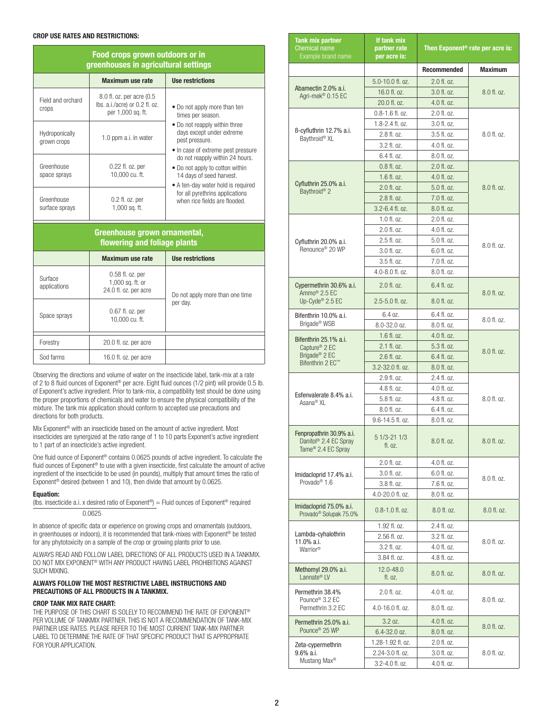## **CROP USE RATES AND RESTRICTIONS:**

| Food crops grown outdoors or in<br>greenhouses in agricultural settings |                                                                                  |                                                                                                                                      |
|-------------------------------------------------------------------------|----------------------------------------------------------------------------------|--------------------------------------------------------------------------------------------------------------------------------------|
|                                                                         | <b>Maximum use rate</b>                                                          | <b>Use restrictions</b>                                                                                                              |
| Field and orchard<br>crops                                              | 8.0 fl. oz. per acre (0.5<br>lbs. a.i./acre) or 0.2 fl. oz.<br>per 1,000 sq. ft. | • Do not apply more than ten<br>times per season.                                                                                    |
| Hydroponically<br>grown crops                                           | 1.0 ppm a.i. in water                                                            | • Do not reapply within three<br>days except under extreme<br>pest pressure.<br>· In case of extreme pest pressure                   |
| Greenhouse<br>space sprays                                              | 0.22 fl. oz. per<br>10,000 cu. ft.                                               | do not reapply within 24 hours.<br>• Do not apply to cotton within<br>14 days of seed harvest.<br>• A ten-day water hold is required |
| Greenhouse<br>surface sprays                                            | $0.2$ fl. oz. per<br>1,000 sq. ft.                                               | for all pyrethrins applications<br>when rice fields are flooded.                                                                     |
| Greenhouse grown ornamental,<br>flowering and foliage plants            |                                                                                  |                                                                                                                                      |
|                                                                         | <b>Maximum use rate</b>                                                          | <b>Use restrictions</b>                                                                                                              |
| Surface<br>applications                                                 | 0.58 fl. oz. per<br>1,000 sq. ft. or<br>24.0 fl. oz. per acre                    | Do not apply more than one time                                                                                                      |
| Space sprays                                                            | $0.67$ fl. oz. per<br>10,000 cu. ft.                                             | per day.                                                                                                                             |
| Forestry                                                                | 20.0 fl. oz. per acre                                                            |                                                                                                                                      |
| Sod farms                                                               | 16.0 fl. oz. per acre                                                            |                                                                                                                                      |

Observing the directions and volume of water on the insecticide label, tank-mix at a rate of 2 to 8 fluid ounces of Exponent<sup>®</sup> per acre. Eight fluid ounces (1/2 pint) will provide 0.5 lb. of Exponent's active ingredient. Prior to tank-mix, a compatibility test should be done using the proper proportions of chemicals and water to ensure the physical compatibility of the mixture. The tank mix application should conform to accepted use precautions and directions for both products.

Mix Exponent® with an insecticide based on the amount of active ingredient. Most insecticides are synergized at the ratio range of 1 to 10 parts Exponent's active ingredient to 1 part of an insecticide's active ingredient.

One fluid ounce of Exponent® contains 0.0625 pounds of active ingredient. To calculate the fluid ounces of Exponent® to use with a given insecticide, first calculate the amount of active ingredient of the insecticide to be used (in pounds), multiply that amount times the ratio of Exponent<sup>®</sup> desired (between 1 and 10), then divide that amount by 0.0625.

#### **Equation:**

(lbs. insecticide a.i. x desired ratio of Exponent®) = Fluid ounces of Exponent® required 0.0625

In absence of specific data or experience on growing crops and ornamentals (outdoors, in greenhouses or indoors), it is recommended that tank-mixes with Exponent® be tested for any phytotoxicity on a sample of the crop or growing plants prior to use.

ALWAYS READ AND FOLLOW LABEL DIRECTIONS OF ALL PRODUCTS USED IN A TANKMIX. DO NOT MIX Exponent® WITH ANY PRODUCT HAVING LABEL PROHIBITIONS AGAINST SUCH MIXING.

## **ALWAYS FOLLOW THE MOST RESTRICTIVE LABEL INSTRUCTIONS AND PRECAUTIONS OF ALL PRODUCTS IN A TANKMIX.**

## **Crop Tank Mix Rate Chart:**

THE PURPOSE OF THIS CHART IS SOLELY TO RECOMMEND THE RATE OF EXPONENT® PER VOLUME OF TANKMIX PARTNER. THIS IS NOT A RECOMMENDATION OF TANK-MIX PARTNER USE RATES. PLEASE REFER TO THE MOST CURRENT TANK-MIX PARTNER LABEL TO DETERMINE THE RATE OF THAT SPECIFIC PRODUCT THAT IS APPROPRIATE FOR YOUR APPLICATION.

| <b>Tank mix partner</b><br><b>Chemical name</b><br>Example brand name               | If tank mix<br>partner rate<br>per acre is: | Then Exponent <sup>®</sup> rate per acre is: |                |
|-------------------------------------------------------------------------------------|---------------------------------------------|----------------------------------------------|----------------|
|                                                                                     |                                             | Recommended                                  | <b>Maximum</b> |
|                                                                                     | 5.0-10.0 fl. oz.                            | 2.0 fl. oz.                                  |                |
| Abamectin 2.0% a.i.<br>Agri-mek <sup>®</sup> 0.15 EC                                | 16.0 fl. oz.                                | 3.0 fl. oz.                                  | 8.0 fl. oz.    |
|                                                                                     | 20.0 fl. oz.                                | 4.0 fl. oz.                                  |                |
|                                                                                     | $0.8 - 1.6$ fl. oz.                         | 2.0 fl. oz.                                  |                |
|                                                                                     | 1.8-2.4 fl. oz.                             | 3.0 fl. oz.                                  |                |
| B-cyfluthrin 12.7% a.i.<br>Baythroid® XL                                            | 2.8 fl. oz.                                 | 3.5 fl. oz.                                  | 8.0 fl. oz.    |
|                                                                                     | 3.2 fl. oz.                                 | 4.0 fl. oz.                                  |                |
|                                                                                     | 6.4 fl. oz.                                 | 8.0 fl. oz.                                  |                |
|                                                                                     | $0.8$ fl. oz.                               | 2.0 fl. oz.                                  |                |
|                                                                                     | 1.6 fl. oz.                                 | 4.0 fl. oz.                                  |                |
| Cyfluthrin 25.0% a.i.<br>Baythroid <sup>®</sup> 2                                   | 2.0 fl. oz.                                 | 5.0 fl. oz.                                  | 8.0 fl. oz.    |
|                                                                                     | 2.8 fl. oz.                                 | 7.0 fl. oz.                                  |                |
|                                                                                     | 3.2-6.4 fl. oz.                             | 8.0 fl. oz.                                  |                |
|                                                                                     | 1.0 fl. oz.                                 | 2.0 fl. oz.                                  |                |
|                                                                                     | 2.0 fl. oz.                                 | 4.0 fl. oz.                                  |                |
| Cyfluthrin 20.0% a.i.                                                               | 2.5 fl. oz.                                 | 5.0 fl. oz.                                  | 8.0 fl. oz.    |
| Renounce <sup>®</sup> 20 WP                                                         | 3.0 fl. oz.                                 | 6.0 fl. oz.                                  |                |
|                                                                                     | 3.5 fl. oz.                                 | 7.0 fl. oz.                                  |                |
|                                                                                     | 4.0-8.0 fl. oz.                             | 8.0 fl. oz.                                  |                |
| Cypermethrin 30.6% a.i.<br>Ammo <sup>®</sup> 2.5 EC                                 | $2.0$ fl. oz.                               | 6.4 fl. oz.                                  | 8.0 fl. oz.    |
| Up-Cyde® 2.5 EC                                                                     | $2.5 - 5.0$ fl. oz.                         | 8.0 fl. oz.                                  |                |
| Bifenthrin 10.0% a.i.                                                               | 6.4 oz.                                     | 6.4 fl. oz.                                  | 8.0 fl. oz.    |
| Brigade <sup>®</sup> WSB                                                            | 8.0-32.0 oz.                                | 8.0 fl. oz.                                  |                |
| Bifenthrin 25.1% a.i.                                                               | $1.6$ fl. oz.                               | 4.0 fl. oz.                                  |                |
| Capture <sup>®</sup> 2 EC                                                           | 2.1 fl. oz.                                 | 5.3 fl. oz.                                  | 8.0 fl. oz.    |
| Brigade <sup>®</sup> 2 EC<br>Bifenthrin 2 EC™                                       | 2.6 fl. oz.                                 | 6.4 fl. oz.                                  |                |
|                                                                                     | 3.2-32.0 fl. oz.                            | 8.0 fl. oz.                                  |                |
|                                                                                     | 2.9 fl. oz.                                 | 2.4 fl. oz.                                  |                |
| Esfenvalerate 8.4% a.i.                                                             | 4.8 fl. oz.                                 | 4.0 fl. oz.                                  |                |
| Asana <sup>®</sup> XL                                                               | 5.8 fl. oz.                                 | 4.8 fl. oz.                                  | 8.0 fl. oz.    |
|                                                                                     | 8.0 fl. oz.                                 | 6.4 fl. oz.                                  |                |
|                                                                                     | 9.6-14.5 fl. oz.                            | 8.0 fl. oz.                                  |                |
| Fenpropathrin 30.9% a.i.<br>Danitol® 2.4 EC Spray<br>Tame <sup>®</sup> 2.4 EC Spray | 5 1/3-21 1/3<br>fl. oz.                     | 8.0 fl. oz.                                  | 8.0 fl. oz.    |
|                                                                                     | 2.0 fl. oz.                                 | 4.0 fl. oz.                                  |                |
| Imidacloprid 17.4% a.i.                                                             | 3.0 fl. oz.                                 | 6.0 fl. oz.                                  | $8.0$ fl. oz.  |
| Provado <sup>®</sup> 1.6                                                            | 3.8 fl. oz.                                 | 7.6 fl. oz.                                  |                |
|                                                                                     | 4.0-20.0 fl. oz.                            | 8.0 fl. oz.                                  |                |
| Imidacloprid 75.0% a.i.<br>Provado <sup>®</sup> Solupak 75.0%                       | $0.8 - 1.0$ fl. oz.                         | 8.0 fl. oz.                                  | $8.0$ fl. oz.  |
|                                                                                     | 1.92 fl. oz.                                | 2.4 fl. oz.                                  |                |
| Lambda-cyhalothrin<br>11.0% a.i.                                                    | 2.56 fl. oz.                                | 3.2 fl. oz.                                  | 8.0 fl. oz.    |
| Warrior <sup>®</sup>                                                                | 3.2 fl. oz.                                 | 4.0 fl. oz.                                  |                |
|                                                                                     | 3.84 fl. oz.                                | 4.8 fl. oz.                                  |                |
| Methomyl 29.0% a.i.<br>Lannate <sup>®</sup> LV                                      | 12.0-48.0<br>fl. oz.                        | 8.0 fl. oz.                                  | 8.0 fl. oz.    |
| Permethrin 38.4%<br>Pounce <sup>®</sup> 3.2 EC                                      | 2.0 fl. oz.                                 | 4.0 fl. oz.                                  | 8.0 fl. oz.    |
| Permethrin 3.2 EC                                                                   | 4.0-16.0 fl. oz.                            | 8.0 fl. oz.                                  |                |
| Permethrin 25.0% a.i.                                                               | 3.2 oz.                                     | 4.0 fl. oz.                                  |                |
| Pounce <sup>®</sup> 25 WP                                                           | 6.4-32.0 oz.                                | 8.0 fl. oz.                                  | 8.0 fl. oz.    |
|                                                                                     | 1.28-1.92 fl. oz.                           | 2.0 fl. oz.                                  |                |
| Zeta-cypermethrin<br>9.6% a.i.                                                      | 2.24-3.0 fl. oz.                            | 3.0 fl. oz.                                  | 8.0 fl. oz.    |
| Mustang Max®                                                                        | 3.2-4.0 fl. oz.                             | 4.0 fl. oz.                                  |                |
|                                                                                     |                                             |                                              |                |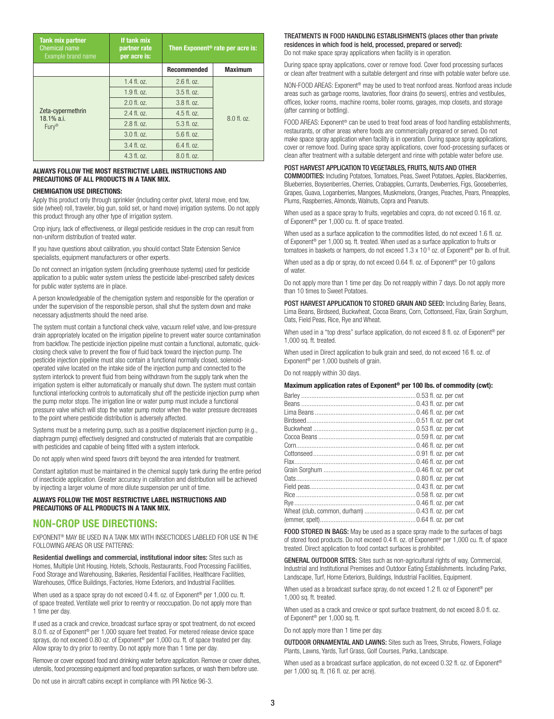| <b>Tank mix partner</b><br>Chemical name<br>Example brand name | If tank mix<br>partner rate<br>per acre is: | Then Exponent <sup>®</sup> rate per acre is: |                  |
|----------------------------------------------------------------|---------------------------------------------|----------------------------------------------|------------------|
|                                                                |                                             | <b>Recommended</b>                           | <b>Maximum</b>   |
| Zeta-cypermethrin<br>$18.1\%$ a.i.<br>$Fury^{\circledR}$       | $1.4$ fl. $07.$                             | $2.6$ fl. oz.                                |                  |
|                                                                | 1.9f1.07.                                   | $3.5$ fl. oz.                                |                  |
|                                                                | $2.0$ fl. oz.                               | 3.8f1.07.                                    |                  |
|                                                                | $2.4$ fl. $07.$                             | $4.5$ fl. oz.                                | $8.0$ fl. $0z$ . |
|                                                                | $2.8 \text{ fl.}$ $07.$                     | $5.3$ fl. $0z$ .                             |                  |
|                                                                | $3.0$ fl. oz.                               | $5.6$ fl. $0z$ .                             |                  |
|                                                                | $3.4$ fl. $07.$                             | $6.4$ fl. $07.$                              |                  |
|                                                                | $4.3$ fl. $0z$ .                            | $8.0$ fl. $0z$ .                             |                  |

## **ALWAYS FOLLOW THE MOST RESTRICTIVE LABEL INSTRUCTIONS AND PRECAUTIONS OF ALL PRODUCTS IN A TANK MIX.**

### **CHEMIGATION USE DIRECTIONS:**

Apply this product only through sprinkler (including center pivot, lateral move, end tow, side (wheel) roll, traveler, big gun, solid set, or hand move) irrigation systems. Do not apply this product through any other type of irrigation system.

Crop injury, lack of effectiveness, or illegal pesticide residues in the crop can result from non-uniform distribution of treated water.

If you have questions about calibration, you should contact State Extension Service specialists, equipment manufacturers or other experts.

Do not connect an irrigation system (including greenhouse systems) used for pesticide application to a public water system unless the pesticide label-prescribed safety devices for public water systems are in place.

A person knowledgeable of the chemigation system and responsible for the operation or under the supervision of the responsible person, shall shut the system down and make necessary adjustments should the need arise.

The system must contain a functional check valve, vacuum relief valve, and low-pressure drain appropriately located on the irrigation pipeline to prevent water source contamination from backflow. The pesticide injection pipeline must contain a functional, automatic, quickclosing check valve to prevent the flow of fluid back toward the injection pump. The pesticide injection pipeline must also contain a functional normally closed, solenoidoperated valve located on the intake side of the injection pump and connected to the system interlock to prevent fluid from being withdrawn from the supply tank when the irrigation system is either automatically or manually shut down. The system must contain functional interlocking controls to automatically shut off the pesticide injection pump when the pump motor stops. The irrigation line or water pump must include a functional pressure valve which will stop the water pump motor when the water pressure decreases to the point where pesticide distribution is adversely affected.

Systems must be a metering pump, such as a positive displacement injection pump (e.g., diaphragm pump) effectively designed and constructed of materials that are compatible with pesticides and capable of being fitted with a system interlock.

Do not apply when wind speed favors drift beyond the area intended for treatment.

Constant agitation must be maintained in the chemical supply tank during the entire period of insecticide application. Greater accuracy in calibration and distribution will be achieved by injecting a larger volume of more dilute suspension per unit of time.

## **ALWAYS FOLLOW THE MOST RESTRICTIVE LABEL INSTRUCTIONS AND PRECAUTIONS OF ALL PRODUCTS IN A TANK MIX.**

# **NON-CROP USE DIRECTIONS:**

EXPONENT® MAY BE USED IN A TANK MIX WITH INSECTICIDES LABELED FOR USE IN THE FOLLOWING AREAS OR USE PATTERNS:

Residential dwellings and commercial, institutional indoor sites: Sites such as Homes, Multiple Unit Housing, Hotels, Schools, Restaurants, Food Processing Facilities, Food Storage and Warehousing, Bakeries, Residential Facilities, Healthcare Facilities, Warehouses, Office Buildings, Factories, Home Exteriors, and Industrial Facilities.

When used as a space spray do not exceed 0.4 fl. oz. of Exponent<sup>®</sup> per 1,000 cu. ft. of space treated. Ventilate well prior to reentry or reoccupation. Do not apply more than 1 time per day.

If used as a crack and crevice, broadcast surface spray or spot treatment, do not exceed 8.0 fl. oz of Exponent® per 1,000 square feet treated. For metered release device space sprays, do not exceed 0.80 oz. of Exponent<sup>®</sup> per 1,000 cu. ft. of space treated per day. Allow spray to dry prior to reentry. Do not apply more than 1 time per day.

Remove or cover exposed food and drinking water before application. Remove or cover dishes, utensils, food processing equipment and food preparation surfaces, or wash them before use.

Do not use in aircraft cabins except in compliance with PR Notice 96-3.

# TREATMENTS IN FOOD HANDLING ESTABLISHMENTS (places other than private residences in which food is held, processed, prepared or served):

Do not make space spray applications when facility is in operation.

During space spray applications, cover or remove food. Cover food processing surfaces or clean after treatment with a suitable detergent and rinse with potable water before use.

NON-FOOD AREAS: Exponent® may be used to treat nonfood areas. Nonfood areas include areas such as garbage rooms, lavatories, floor drains (to sewers), entries and vestibules, offices, locker rooms, machine rooms, boiler rooms, garages, mop closets, and storage (after canning or bottling).

FOOD AREAS: Exponent<sup>®</sup> can be used to treat food areas of food handling establishments, restaurants, or other areas where foods are commercially prepared or served. Do not make space spray application when facility is in operation. During space spray applications, cover or remove food. During space spray applications, cover food-processing surfaces or clean after treatment with a suitable detergent and rinse with potable water before use.

### POST HARVEST APPLICATION TO VEGETABLES, FRUITS, NUTS AND OTHER

COMMODITIES: Including Potatoes, Tomatoes, Peas, Sweet Potatoes, Apples, Blackberries, Blueberries, Boysenberries, Cherries, Crabapples, Currants, Dewberries, Figs, Gooseberries, Grapes, Guava, Loganberries, Mangoes, Muskmelons, Oranges, Peaches, Pears, Pineapples, Plums, Raspberries, Almonds, Walnuts, Copra and Peanuts.

When used as a space spray to fruits, vegetables and copra, do not exceed 0.16 fl. oz. of Exponent® per 1,000 cu. ft. of space treated.

When used as a surface application to the commodities listed, do not exceed 1.6 fl. oz. of Exponent® per 1,000 sq. ft. treated. When used as a surface application to fruits or tomatoes in baskets or hampers, do not exceed  $1.3 \times 10^{-5}$  oz. of Exponent<sup>®</sup> per lb. of fruit.

When used as a dip or spray, do not exceed 0.64 fl. oz. of Exponent® per 10 gallons of water.

Do not apply more than 1 time per day. Do not reapply within 7 days. Do not apply more than 10 times to Sweet Potatoes.

POST HARVEST APPLICATION TO STORED GRAIN AND SEED: Including Barley, Beans, Lima Beans, Birdseed, Buckwheat, Cocoa Beans, Corn, Cottonseed, Flax, Grain Sorghum, Oats, Field Peas, Rice, Rye and Wheat.

When used in a "top dress" surface application, do not exceed 8 fl. oz. of Exponent® per 1,000 sq. ft. treated.

When used in Direct application to bulk grain and seed, do not exceed 16 fl. oz. of Exponent® per 1,000 bushels of grain.

Do not reapply within 30 days.

#### **Maximum application rates of Exponent® per 100 lbs. of commodity (cwt):**

FOOD STORED IN BAGS: May be used as a space spray made to the surfaces of bags of stored food products. Do not exceed 0.4 fl. oz. of Exponent® per 1,000 cu. ft. of space treated. Direct application to food contact surfaces is prohibited.

GENERAL OUTDOOR SITES: Sites such as non-agricultural rights of way, Commercial, Industrial and Institutional Premises and Outdoor Eating Establishments. Including Parks, Landscape, Turf, Home Exteriors, Buildings, Industrial Facilities, Equipment.

When used as a broadcast surface spray, do not exceed 1.2 fl. oz of Exponent<sup>®</sup> per 1,000 sq. ft. treated.

When used as a crack and crevice or spot surface treatment, do not exceed 8.0 fl. oz. of Exponent® per 1,000 sq. ft.

Do not apply more than 1 time per day.

OUTDOOR ORNAMENTAL AND LAWNS: Sites such as Trees, Shrubs, Flowers, Foliage Plants, Lawns, Yards, Turf Grass, Golf Courses, Parks, Landscape.

When used as a broadcast surface application, do not exceed 0.32 fl. oz. of Exponent® per 1,000 sq. ft. (16 fl. oz. per acre).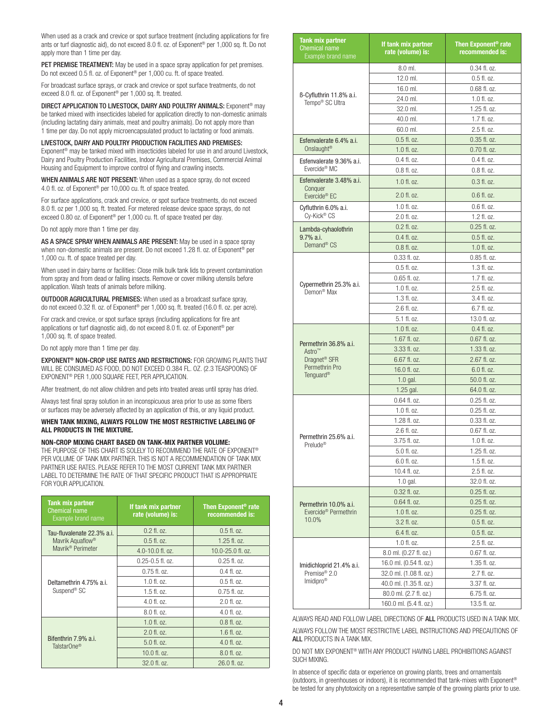When used as a crack and crevice or spot surface treatment (including applications for fire ants or turf diagnostic aid), do not exceed 8.0 fl. oz. of Exponent® per 1,000 sq. ft. Do not apply more than 1 time per day.

PET PREMISE TREATMENT: May be used in a space spray application for pet premises. Do not exceed 0.5 fl. oz. of Exponent<sup>®</sup> per 1,000 cu. ft. of space treated.

For broadcast surface sprays, or crack and crevice or spot surface treatments, do not exceed 8.0 fl. oz. of Exponent® per 1,000 sq. ft. treated.

DIRECT APPLICATION TO LIVESTOCK, DAIRY AND POULTRY ANIMALS: Exponent<sup>®</sup> may be tanked mixed with insecticides labeled for application directly to non-domestic animals (including lactating dairy animals, meat and poultry animals). Do not apply more than 1 time per day. Do not apply microencapsulated product to lactating or food animals.

Livestock, Dairy and Poultry production facilities and premises: Exponent<sup>®</sup> may be tanked mixed with insecticides labeled for use in and around Livestock, Dairy and Poultry Production Facilities, Indoor Agricultural Premises, Commercial Animal Housing and Equipment to improve control of flying and crawling insects.

WHEN ANIMALS ARE NOT PRESENT: When used as a space spray, do not exceed 4.0 fl. oz. of Exponent® per 10,000 cu. ft. of space treated.

For surface applications, crack and crevice, or spot surface treatments, do not exceed 8.0 fl. oz per 1,000 sq. ft. treated. For metered release device space sprays, do not exceed 0.80 oz. of Exponent® per 1,000 cu. ft. of space treated per day.

Do not apply more than 1 time per day.

AS A SPACE SPRAY WHEN ANIMALS ARE PRESENT: May be used in a space spray when non-domestic animals are present. Do not exceed 1.28 fl. oz. of Exponent<sup>®</sup> per 1,000 cu. ft. of space treated per day.

When used in dairy barns or facilities: Close milk bulk tank lids to prevent contamination from spray and from dead or falling insects. Remove or cover milking utensils before application. Wash teats of animals before milking.

**OUTDOOR AGRICULTURAL PREMISES:** When used as a broadcast surface spray, do not exceed 0.32 fl. oz. of Exponent® per 1,000 sq. ft. treated (16.0 fl. oz. per acre).

For crack and crevice, or spot surface sprays (including applications for fire ant applications or turf diagnostic aid), do not exceed 8.0 fl. oz. of Exponent® per 1,000 sq. ft. of space treated.

Do not apply more than 1 time per day.

EXPONENT® NON-CROP USE RATES and RESTRICTIONS: FOR GROWING PLANTS THAT WILL BE CONSUMED AS FOOD, DO NOT EXCEED O.384 FL. OZ. (2.3 TEASPOONS) OF EXPONENT® PER 1,000 SQUARE FEET, PER APPLICATION.

After treatment, do not allow children and pets into treated areas until spray has dried.

Always test final spray solution in an inconspicuous area prior to use as some fibers or surfaces may be adversely affected by an application of this, or any liquid product.

**When tank mixing, always follow the most restrictive labeling of ALL products in the mixture.** 

## **NON-CROP Mixing Chart Based on Tank-mix Partner Volume:**

THE PURPOSE OF THIS CHART IS SOLELY TO RECOMMEND THE RATE OF EXPONENT® PER VOLUME OF TANK MIX PARTNER. THIS IS NOT A RECOMMENDATION OF TANK MIX PARTNER USE RATES. PLEASE REFER TO THE MOST CURRENT TANK MIX PARTNER LABEL TO DETERMINE THE RATE OF THAT SPECIFIC PRODUCT THAT IS APPROPRIATE FOR YOUR APPLICATION.

| Tank mix partner<br><b>Chemical name</b><br>Example brand name | If tank mix partner<br>rate (volume) is: | Then Exponent <sup>®</sup> rate<br>recommended is: |
|----------------------------------------------------------------|------------------------------------------|----------------------------------------------------|
| Tau-fluvalenate 22.3% a.i.<br>Mavrik Aquaflow <sup>®</sup>     | $0.2$ fl. oz.                            | $0.5$ fl. oz.                                      |
|                                                                | $0.5$ fl. oz.                            | $1.25$ fl. $0z$ .                                  |
| Mavrik <sup>®</sup> Perimeter                                  | 4.0-10.0 fl. oz.                         | 10.0-25.0 fl. oz.                                  |
| Deltamethrin 4.75% a.i.<br>Suspend <sup>®</sup> SC             | $0.25 - 0.5$ fl. oz.                     | $0.25$ fl. oz.                                     |
|                                                                | $0.75$ fl. oz.                           | $0.4$ fl. oz.                                      |
|                                                                | $1.0$ fl. oz.                            | $0.5$ fl. oz.                                      |
|                                                                | $1.5$ fl. oz.                            | $0.75$ fl. oz.                                     |
|                                                                | 4.0 fl. oz.                              | $2.0$ fl. oz.                                      |
|                                                                | 8.0 fl. oz.                              | $4.0$ fl. $0z$ .                                   |
| Bifenthrin 7.9% a.i.<br>TalstarOne <sup>®</sup>                | $1.0$ fl. oz.                            | $0.8$ fl. oz.                                      |
|                                                                | $2.0$ fl. oz.                            | $1.6$ fl. $.07$ .                                  |
|                                                                | 5.0 fl. oz.                              | 4.0 fl. oz.                                        |
|                                                                | 10.0 fl. oz.                             | 8.0 fl. oz.                                        |
|                                                                | 32.0 fl. oz.                             | 26.0 fl. oz.                                       |

| <b>Tank mix partner</b><br><b>Chemical name</b><br>Example brand name | If tank mix partner<br>rate (volume) is: | Then Exponent <sup>®</sup> rate<br>recommended is: |
|-----------------------------------------------------------------------|------------------------------------------|----------------------------------------------------|
|                                                                       | 8.0 ml.                                  | 0.34 fl. oz.                                       |
|                                                                       | 12.0 ml.                                 | $0.5$ fl. oz.                                      |
|                                                                       | 16.0 ml.                                 | 0.68 fl. oz.                                       |
| ß-Cyfluthrin 11.8% a.i.<br>Tempo <sup>®</sup> SC Ultra                | 24.0 ml.                                 | $1.0$ fl. oz.                                      |
|                                                                       | 32.0 ml.                                 | 1.25 fl. oz.                                       |
|                                                                       | 40.0 ml.                                 | 1.7 fl. oz.                                        |
|                                                                       | 60.0 ml.                                 | 2.5 fl. oz.                                        |
| Esfenvalerate 6.4% a.i.                                               | $0.5$ fl. oz.                            | $0.35$ fl. oz.                                     |
| Onslaught <sup>®</sup>                                                | $1.0$ fl. oz.                            | $0.70$ fl. oz.                                     |
| Esfenvalerate 9.36% a.i.                                              | $0.4$ fl. oz.                            | $0.4$ fl. oz.                                      |
| Evercide <sup>®</sup> MC                                              | $0.8$ fl. oz.                            | $0.8$ fl. oz.                                      |
| Esfenvalerate 3.48% a.i.<br>Conquer                                   | $1.0$ fl. oz.                            | $0.3$ fl. oz.                                      |
| Evercide <sup>®</sup> EC                                              | 2.0 fl. oz.                              | $0.6$ fl. oz.                                      |
| Cyfluthrin 6.0% a.i.                                                  | $1.0$ fl. oz.                            | $0.6$ fl. oz.                                      |
| Cy-Kick® CS                                                           | 2.0 fl. oz.                              | $1.2$ fl. oz.                                      |
| Lambda-cyhaolothrin                                                   | $0.2$ fl. oz.                            | $0.25$ fl. oz.                                     |
| 9.7% a.i.                                                             | $0.4$ fl. oz.                            | $0.5$ fl. oz.                                      |
| Demand <sup>®</sup> CS                                                | $0.8$ fl. oz.                            | $1.0$ fl. oz.                                      |
|                                                                       | $0.33$ fl. oz.                           | 0.85 fl. oz.                                       |
|                                                                       | $0.5$ fl. oz.                            | 1.3 fl. oz.                                        |
|                                                                       | $0.65$ fl. oz.                           | $1.7$ fl. oz.                                      |
| Cypermethrin 25.3% a.i.                                               | $1.0$ fl. oz.                            | $2.5$ fl. oz.                                      |
| Demon <sup>®</sup> Max                                                | $1.3$ fl. oz.                            | 3.4 fl. oz.                                        |
|                                                                       | 2.6 fl. oz.                              | 6.7 fl. oz.                                        |
|                                                                       | 5.1 fl. oz.                              | 13.0 fl. oz.                                       |
|                                                                       | 1.0 fl. oz.                              | 0.4 fl. oz.                                        |
|                                                                       | 1.67 fl. oz.                             | 0.67 fl. oz.                                       |
| Permethrin 36.8% a.i.<br>Astro <sup>™</sup>                           | 3.33 fl. oz.                             | 1.33 fl. oz.                                       |
| Dragnet <sup>®</sup> SFR                                              | 6.67 fl. oz.                             | 2.67 fl. oz.                                       |
| Permethrin Pro                                                        | 16.0 fl. oz.                             | 6.0 fl. oz.                                        |
| Tenguard <sup>®</sup>                                                 | $1.0$ gal.                               | 50.0 fl. oz.                                       |
|                                                                       | $1.25$ gal.                              | 64.0 fl. oz.                                       |
|                                                                       | 0.64 fl. oz.                             | $0.25$ fl. oz.                                     |
|                                                                       | 1.0 fl. oz.                              | $0.25$ fl. oz.                                     |
|                                                                       | 1.28 fl. oz.                             | $0.33$ fl. oz.                                     |
|                                                                       | $2.6 \text{ fl.}$ $07.$                  | $0.67$ fl. $0z$ .                                  |
| Permethrin 25.6% a.i.<br>Prelude <sup>®</sup>                         | 3.75 fl. oz.                             | $1.0$ fl. oz.                                      |
|                                                                       | 5.0 fl. oz.                              | 1.25 fl. oz.                                       |
|                                                                       | 6.0 fl. oz.                              | 1.5 fl. oz.                                        |
|                                                                       | 10.4 fl. oz.                             | 2.5 fl. oz.                                        |
|                                                                       | $1.0$ gal.                               | 32.0 fl. oz.                                       |
|                                                                       | $0.32$ fl. oz.                           | $0.25$ fl. oz.                                     |
| Permethrin 10.0% a.i.                                                 | $0.64$ fl. oz.                           | $0.25$ fl. oz.                                     |
| Evercide <sup>®</sup> Permethrin                                      | $1.0$ fl. oz.                            | $0.25$ fl. oz.                                     |
| 10.0%                                                                 | 3.2 fl. oz.                              | $0.5$ fl. oz.                                      |
|                                                                       | 6.4 fl. oz.                              | $0.5$ fl. oz.                                      |
|                                                                       | 1.0 fl. oz.                              | 2.5 fl. oz.                                        |
|                                                                       | 8.0 ml. (0.27 fl. oz.)                   | $0.67$ fl. oz.                                     |
| Imidichloprid 21.4% a.i.                                              | 16.0 ml. (0.54 fl. oz.)                  | 1.35 fl. oz.                                       |
| Premise <sup>®</sup> 2.0                                              | 32.0 ml. (1.08 fl. oz.)                  | 2.7 fl. oz.                                        |
| Imidipro <sup>®</sup>                                                 | 40.0 ml. (1.35 fl. oz.)                  | 3.37 fl. oz.                                       |
|                                                                       | 80.0 ml. (2.7 fl. oz.)                   | 6.75 fl. oz.                                       |
|                                                                       | 160.0 ml. (5.4 fl. oz.)                  | 13.5 fl. oz.                                       |

ALWAYS READ AND FOLLOW LABEL DIRECTIONS OF ALL PRODUCTS USED IN A TANK MIX.

ALWAYS FOLLOW THE MOST RESTRICTIVE LABEL INSTRUCTIONS AND PRECAUTIONS OF ALL PRODUCTS IN A TANK MIX.

DO NOT MIX EXPONENT® WITH ANY PRODUCT HAVING LABEL PROHIBITIONS AGAINST SUCH MIXING.

In absence of specific data or experience on growing plants, trees and ornamentals (outdoors, in greenhouses or indoors), it is recommended that tank-mixes with Exponent® be tested for any phytotoxicity on a representative sample of the growing plants prior to use.